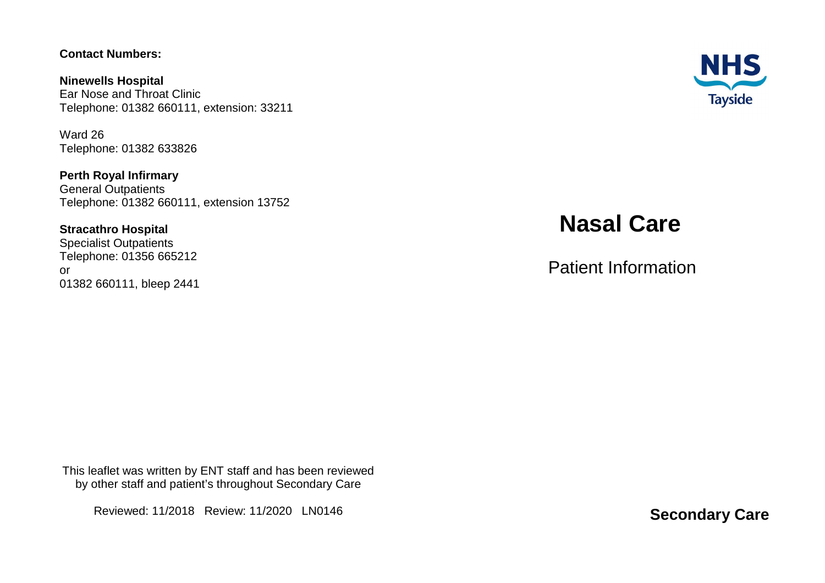#### **Contact Numbers:**

**Ninewells Hospital**  Ear Nose and Throat Clinic Telephone: 01382 660111, extension: 33211

Ward 26 Telephone: 01382 633826

**Perth Royal Infirmary** General Outpatients Telephone: 01382 660111, extension 13752

#### **Stracathro Hospital**

 Specialist Outpatients Telephone: 01356 665212 or 01382 660111, bleep 2441



# **Nasal Care**

Patient Information

This leaflet was written by ENT staff and has been reviewed by other staff and patient's throughout Secondary Care

Reviewed: 11/2018 Review: 11/2020 LN0146

**Secondary Care**